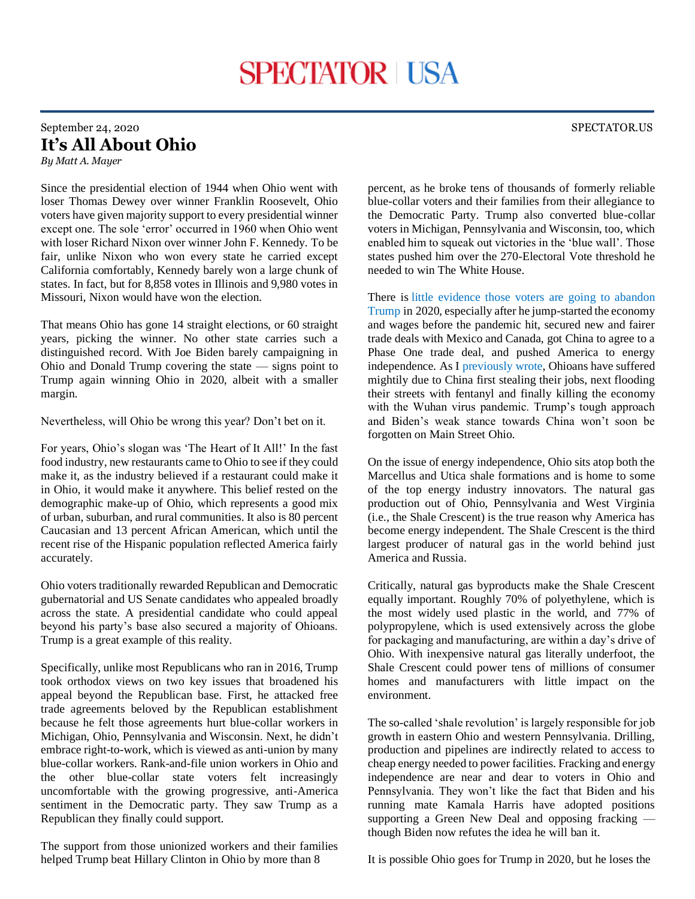## September 24, 2020 SPECTATOR.US **It's All About Ohio** *By Matt A. Mayer*

Since the presidential election of 1944 when Ohio went with loser Thomas Dewey over winner Franklin Roosevelt, Ohio voters have given majority support to every presidential winner except one. The sole 'error' occurred in 1960 when Ohio went with loser Richard Nixon over winner John F. Kennedy. To be fair, unlike Nixon who won every state he carried except California comfortably, Kennedy barely won a large chunk of states. In fact, but for 8,858 votes in Illinois and 9,980 votes in Missouri, Nixon would have won the election.

That means Ohio has gone 14 straight elections, or 60 straight years, picking the winner. No other state carries such a distinguished record. With Joe Biden barely campaigning in Ohio and Donald Trump covering the state — signs point to Trump again winning Ohio in 2020, albeit with a smaller margin.

Nevertheless, will Ohio be wrong this year? Don't bet on it.

For years, Ohio's slogan was 'The Heart of It All!' In the fast food industry, new restaurants came to Ohio to see if they could make it, as the industry believed if a restaurant could make it in Ohio, it would make it anywhere. This belief rested on the demographic make-up of Ohio, which represents a good mix of urban, suburban, and rural communities. It also is 80 percent Caucasian and 13 percent African American, which until the recent rise of the Hispanic population reflected America fairly accurately.

Ohio voters traditionally rewarded Republican and Democratic gubernatorial and US Senate candidates who appealed broadly across the state. A presidential candidate who could appeal beyond his party's base also secured a majority of Ohioans. Trump is a great example of this reality.

Specifically, unlike most Republicans who ran in 2016, Trump took orthodox views on two key issues that broadened his appeal beyond the Republican base. First, he attacked free trade agreements beloved by the Republican establishment because he felt those agreements hurt blue-collar workers in Michigan, Ohio, Pennsylvania and Wisconsin. Next, he didn't embrace right-to-work, which is viewed as anti-union by many blue-collar workers. Rank-and-file union workers in Ohio and the other blue-collar state voters felt increasingly uncomfortable with the growing progressive, anti-America sentiment in the Democratic party. They saw Trump as a Republican they finally could support.

The support from those unionized workers and their families helped Trump beat Hillary Clinton in Ohio by more than 8

percent, as he broke tens of thousands of formerly reliable blue-collar voters and their families from their allegiance to the Democratic Party. Trump also converted blue-collar voters in Michigan, Pennsylvania and Wisconsin, too, which enabled him to squeak out victories in the 'blue wall'. Those states pushed him over the 270-Electoral Vote threshold he needed to win The White House.

There is [little evidence those voters are going to abandon](https://www.politico.com/news/2020/09/22/donald-trump-union-support-snub-joe-biden-418329)  [Trump](https://www.politico.com/news/2020/09/22/donald-trump-union-support-snub-joe-biden-418329) in 2020, especially after he jump-started the economy and wages before the pandemic hit, secured new and fairer trade deals with Mexico and Canada, got China to agree to a Phase One trade deal, and pushed America to energy independence. As I [previously wrote,](https://spectator.us/2020-question-which-candidate-stand-china/) Ohioans have suffered mightily due to China first stealing their jobs, next flooding their streets with fentanyl and finally killing the economy with the Wuhan virus pandemic. Trump's tough approach and Biden's weak stance towards China won't soon be forgotten on Main Street Ohio.

On the issue of energy independence, Ohio sits atop both the Marcellus and Utica shale formations and is home to some of the top energy industry innovators. The natural gas production out of Ohio, Pennsylvania and West Virginia (i.e., the Shale Crescent) is the true reason why America has become energy independent. The Shale Crescent is the third largest producer of natural gas in the world behind just America and Russia.

Critically, natural gas byproducts make the Shale Crescent equally important. Roughly 70% of polyethylene, which is the most widely used plastic in the world, and 77% of polypropylene, which is used extensively across the globe for packaging and manufacturing, are within a day's drive of Ohio. With inexpensive natural gas literally underfoot, the Shale Crescent could power tens of millions of consumer homes and manufacturers with little impact on the environment.

The so-called 'shale revolution' is largely responsible for job growth in eastern Ohio and western Pennsylvania. Drilling, production and pipelines are indirectly related to access to cheap energy needed to power facilities. Fracking and energy independence are near and dear to voters in Ohio and Pennsylvania. They won't like the fact that Biden and his running mate Kamala Harris have adopted positions supporting a Green New Deal and opposing fracking though Biden now refutes the idea he will ban it.

It is possible Ohio goes for Trump in 2020, but he loses the